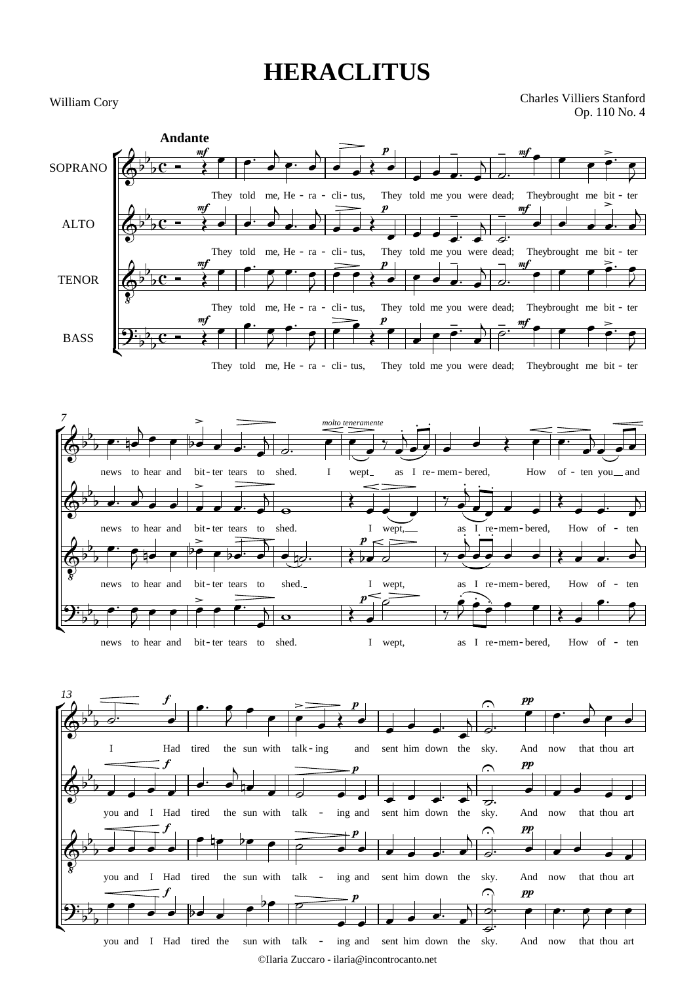## **HERACLITUS**

William Cory

Charles Villiers Stanford Op. 110 No. 4





<sup>©</sup>Ilaria Zuccaro - ilaria@incontrocanto.net